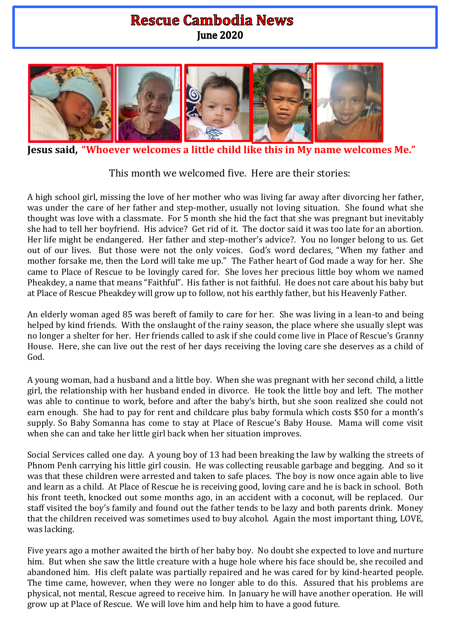## **Rescue Cambodia News June 2020**



**Jesus said, "Whoever welcomes a little child like this in My name welcomes Me."**

This month we welcomed five. Here are their stories:

A high school girl, missing the love of her mother who was living far away after divorcing her father, was under the care of her father and step-mother, usually not loving situation. She found what she thought was love with a classmate. For 5 month she hid the fact that she was pregnant but inevitably she had to tell her boyfriend. His advice? Get rid of it. The doctor said it was too late for an abortion. Her life might be endangered. Her father and step-mother's advice?. You no longer belong to us. Get out of our lives. But those were not the only voices. God's word declares, "When my father and mother forsake me, then the Lord will take me up." The Father heart of God made a way for her. She came to Place of Rescue to be lovingly cared for. She loves her precious little boy whom we named Pheakdey, a name that means "Faithful". His father is not faithful. He does not care about his baby but at Place of Rescue Pheakdey will grow up to follow, not his earthly father, but his Heavenly Father.

An elderly woman aged 85 was bereft of family to care for her. She was living in a lean-to and being helped by kind friends. With the onslaught of the rainy season, the place where she usually slept was no longer a shelter for her. Her friends called to ask if she could come live in Place of Rescue's Granny House. Here, she can live out the rest of her days receiving the loving care she deserves as a child of God.

A young woman, had a husband and a little boy. When she was pregnant with her second child, a little girl, the relationship with her husband ended in divorce. He took the little boy and left. The mother was able to continue to work, before and after the baby's birth, but she soon realized she could not earn enough. She had to pay for rent and childcare plus baby formula which costs \$50 for a month's supply. So Baby Somanna has come to stay at Place of Rescue's Baby House. Mama will come visit when she can and take her little girl back when her situation improves.

Social Services called one day. A young boy of 13 had been breaking the law by walking the streets of Phnom Penh carrying his little girl cousin. He was collecting reusable garbage and begging. And so it was that these children were arrested and taken to safe places. The boy is now once again able to live and learn as a child. At Place of Rescue he is receiving good, loving care and he is back in school. Both his front teeth, knocked out some months ago, in an accident with a coconut, will be replaced. Our staff visited the boy's family and found out the father tends to be lazy and both parents drink. Money that the children received was sometimes used to buy alcohol. Again the most important thing, LOVE, was lacking.

Five years ago a mother awaited the birth of her baby boy. No doubt she expected to love and nurture him. But when she saw the little creature with a huge hole where his face should be, she recoiled and abandoned him. His cleft palate was partially repaired and he was cared for by kind-hearted people. The time came, however, when they were no longer able to do this. Assured that his problems are physical, not mental, Rescue agreed to receive him. In January he will have another operation. He will grow up at Place of Rescue. We will love him and help him to have a good future.